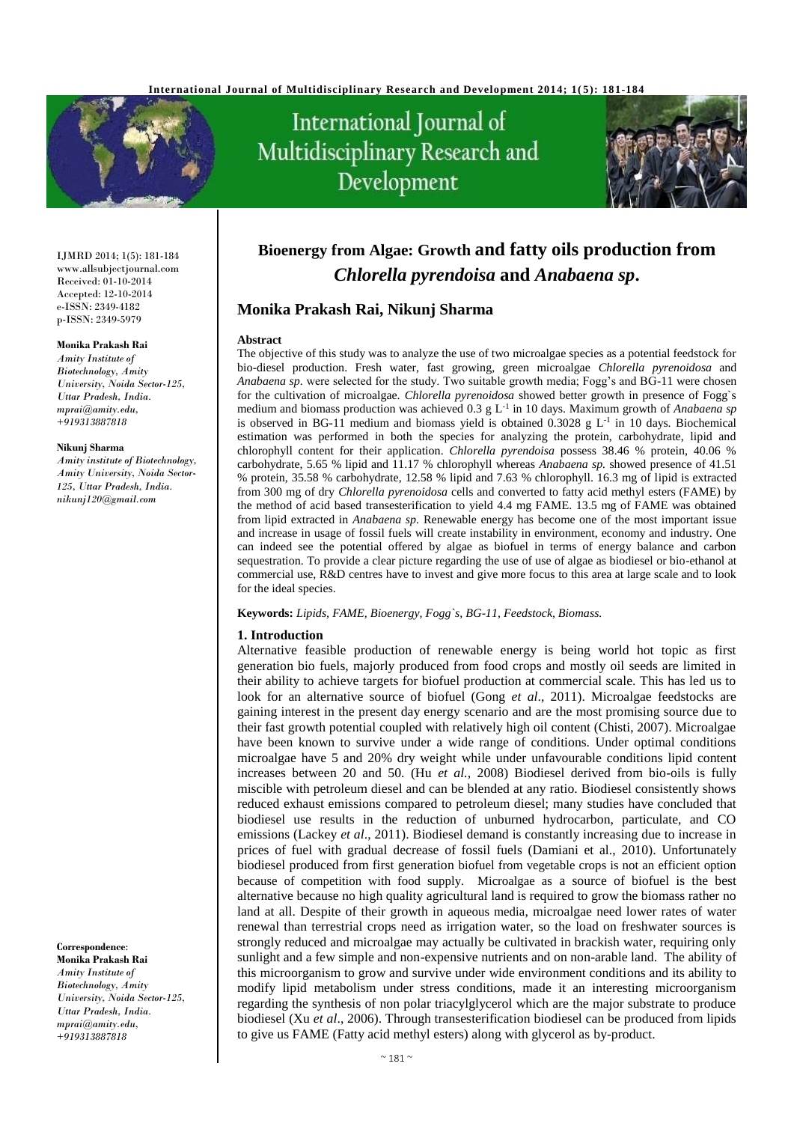

# International Journal of Multidisciplinary Research and Development



IJMRD 2014; 1(5): 181-184 www.allsubjectjournal.com Received: 01-10-2014 Accepted: 12-10-2014 e-ISSN: 2349-4182 p-ISSN: 2349-5979

#### **Monika Prakash Rai**

*Amity Institute of Biotechnology, Amity University, Noida Sector-125, Uttar Pradesh, India. mprai@amity.edu, +919313887818*

#### **Nikunj Sharma**

*Amity institute of Biotechnology, Amity University, Noida Sector-125, Uttar Pradesh, India. nikunj120@gmail.com*

**Correspondence**:

**Monika Prakash Rai** *Amity Institute of Biotechnology, Amity University, Noida Sector-125, Uttar Pradesh, India. mprai@amity.edu, +919313887818*

# **Bioenergy from Algae: Growth and fatty oils production from**  *Chlorella pyrendoisa* **and** *Anabaena sp***.**

#### **Monika Prakash Rai, Nikunj Sharma**

#### **Abstract**

The objective of this study was to analyze the use of two microalgae species as a potential feedstock for bio-diesel production. Fresh water, fast growing, green microalgae *Chlorella pyrenoidosa* and *Anabaena sp.* were selected for the study. Two suitable growth media; Fogg's and BG-11 were chosen for the cultivation of microalgae. *Chlorella pyrenoidosa* showed better growth in presence of Fogg`s medium and biomass production was achieved 0.3 g L<sup>-1</sup> in 10 days. Maximum growth of *Anabaena sp* is observed in BG-11 medium and biomass yield is obtained  $0.3028 \text{ g L}^{-1}$  in 10 days. Biochemical estimation was performed in both the species for analyzing the protein, carbohydrate, lipid and chlorophyll content for their application. *Chlorella pyrendoisa* possess 38.46 % protein, 40.06 % carbohydrate, 5.65 % lipid and 11.17 % chlorophyll whereas *Anabaena sp.* showed presence of 41.51 % protein, 35.58 % carbohydrate, 12.58 % lipid and 7.63 % chlorophyll. 16.3 mg of lipid is extracted from 300 mg of dry *Chlorella pyrenoidosa* cells and converted to fatty acid methyl esters (FAME) by the method of acid based transesterification to yield 4.4 mg FAME. 13.5 mg of FAME was obtained from lipid extracted in *Anabaena sp.* Renewable energy has become one of the most important issue and increase in usage of fossil fuels will create instability in environment, economy and industry. One can indeed see the potential offered by algae as biofuel in terms of energy balance and carbon sequestration. To provide a clear picture regarding the use of use of algae as biodiesel or bio-ethanol at commercial use, R&D centres have to invest and give more focus to this area at large scale and to look for the ideal species.

**Keywords:** *Lipids, FAME, Bioenergy, Fogg`s, BG-11, Feedstock, Biomass.*

#### **1. Introduction**

Alternative feasible production of renewable energy is being world hot topic as first generation bio fuels, majorly produced from food crops and mostly oil seeds are limited in their ability to achieve targets for biofuel production at commercial scale. This has led us to look for an alternative source of biofuel (Gong *et al*., 2011). Microalgae feedstocks are gaining interest in the present day energy scenario and are the most promising source due to their fast growth potential coupled with relatively high oil content (Chisti, 2007). Microalgae have been known to survive under a wide range of conditions. Under optimal conditions microalgae have 5 and 20% dry weight while under unfavourable conditions lipid content increases between 20 and 50. (Hu *et al.,* 2008) Biodiesel derived from bio-oils is fully miscible with petroleum diesel and can be blended at any ratio. Biodiesel consistently shows reduced exhaust emissions compared to petroleum diesel; many studies have concluded that biodiesel use results in the reduction of unburned hydrocarbon, particulate, and CO emissions (Lackey *et al*., 2011). Biodiesel demand is constantly increasing due to increase in prices of fuel with gradual decrease of fossil fuels (Damiani et al., 2010). Unfortunately biodiesel produced from first generation biofuel from vegetable crops is not an efficient option because of competition with food supply. Microalgae as a source of biofuel is the best alternative because no high quality agricultural land is required to grow the biomass rather no land at all. Despite of their growth in aqueous media, microalgae need lower rates of water renewal than terrestrial crops need as irrigation water, so the load on freshwater sources is strongly reduced and microalgae may actually be cultivated in brackish water, requiring only sunlight and a few simple and non-expensive nutrients and on non-arable land. The ability of this microorganism to grow and survive under wide environment conditions and its ability to modify lipid metabolism under stress conditions, made it an interesting microorganism regarding the synthesis of non polar triacylglycerol which are the major substrate to produce biodiesel (Xu *et al*., 2006). Through transesterification biodiesel can be produced from lipids to give us FAME (Fatty acid methyl esters) along with glycerol as by-product.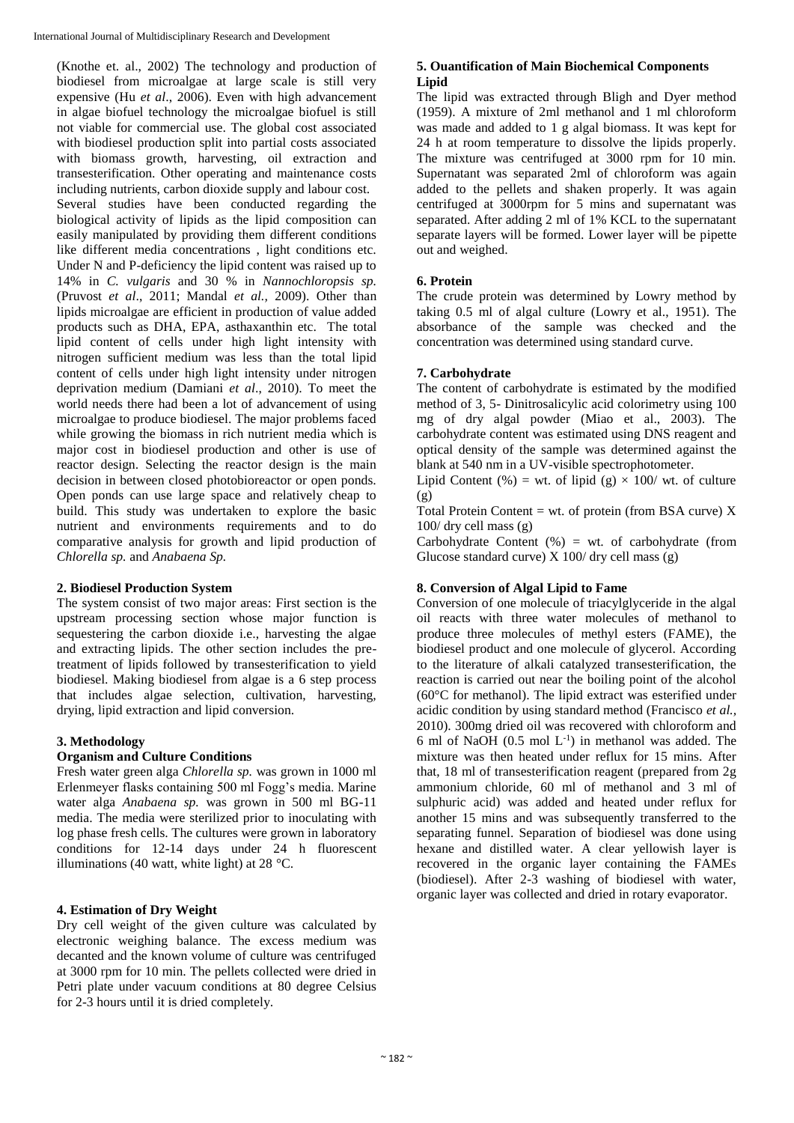(Knothe et. al., 2002) The technology and production of biodiesel from microalgae at large scale is still very expensive (Hu *et al*., 2006). Even with high advancement in algae biofuel technology the microalgae biofuel is still not viable for commercial use. The global cost associated with biodiesel production split into partial costs associated with biomass growth, harvesting, oil extraction and transesterification. Other operating and maintenance costs including nutrients, carbon dioxide supply and labour cost. Several studies have been conducted regarding the biological activity of lipids as the lipid composition can easily manipulated by providing them different conditions like different media concentrations , light conditions etc. Under N and P-deficiency the lipid content was raised up to 14% in *C. vulgaris* and 30 % in *Nannochloropsis sp.* (Pruvost *et al*., 2011; Mandal *et al.,* 2009). Other than lipids microalgae are efficient in production of value added products such as DHA, EPA, asthaxanthin etc. The total lipid content of cells under high light intensity with nitrogen sufficient medium was less than the total lipid content of cells under high light intensity under nitrogen deprivation medium (Damiani *et al*., 2010). To meet the world needs there had been a lot of advancement of using microalgae to produce biodiesel. The major problems faced while growing the biomass in rich nutrient media which is major cost in biodiesel production and other is use of reactor design. Selecting the reactor design is the main decision in between closed photobioreactor or open ponds. Open ponds can use large space and relatively cheap to build. This study was undertaken to explore the basic nutrient and environments requirements and to do comparative analysis for growth and lipid production of *Chlorella sp.* and *Anabaena Sp.*

#### **2. Biodiesel Production System**

The system consist of two major areas: First section is the upstream processing section whose major function is sequestering the carbon dioxide i.e., harvesting the algae and extracting lipids. The other section includes the pretreatment of lipids followed by transesterification to yield biodiesel. Making biodiesel from algae is a 6 step process that includes algae selection, cultivation, harvesting, drying, lipid extraction and lipid conversion.

# **3. Methodology**

#### **Organism and Culture Conditions**

Fresh water green alga *Chlorella sp.* was grown in 1000 ml Erlenmeyer flasks containing 500 ml Fogg's media. Marine water alga *Anabaena sp.* was grown in 500 ml BG-11 media. The media were sterilized prior to inoculating with log phase fresh cells. The cultures were grown in laboratory conditions for 12-14 days under 24 h fluorescent illuminations (40 watt, white light) at 28 °C.

# **4. Estimation of Dry Weight**

Dry cell weight of the given culture was calculated by electronic weighing balance. The excess medium was decanted and the known volume of culture was centrifuged at 3000 rpm for 10 min. The pellets collected were dried in Petri plate under vacuum conditions at 80 degree Celsius for 2-3 hours until it is dried completely.

#### **5. Ouantification of Main Biochemical Components Lipid**

The lipid was extracted through Bligh and Dyer method (1959). A mixture of 2ml methanol and 1 ml chloroform was made and added to 1 g algal biomass. It was kept for 24 h at room temperature to dissolve the lipids properly. The mixture was centrifuged at 3000 rpm for 10 min. Supernatant was separated 2ml of chloroform was again added to the pellets and shaken properly. It was again centrifuged at 3000rpm for 5 mins and supernatant was separated. After adding 2 ml of 1% KCL to the supernatant separate layers will be formed. Lower layer will be pipette out and weighed.

# **6. Protein**

The crude protein was determined by Lowry method by taking 0.5 ml of algal culture (Lowry et al., 1951). The absorbance of the sample was checked and the concentration was determined using standard curve.

#### **7. Carbohydrate**

The content of carbohydrate is estimated by the modified method of 3, 5- Dinitrosalicylic acid colorimetry using 100 mg of dry algal powder (Miao et al., 2003). The carbohydrate content was estimated using DNS reagent and optical density of the sample was determined against the blank at 540 nm in a UV-visible spectrophotometer.

Lipid Content (%) = wt. of lipid (g)  $\times$  100/ wt. of culture (g)

Total Protein Content = wt. of protein (from BSA curve)  $X$ 100/ dry cell mass (g)

Carbohydrate Content  $(% )$  = wt. of carbohydrate (from Glucose standard curve)  $X$  100/dry cell mass (g)

# **8. Conversion of Algal Lipid to Fame**

Conversion of one molecule of triacylglyceride in the algal oil reacts with three water molecules of methanol to produce three molecules of methyl esters (FAME), the biodiesel product and one molecule of glycerol. According to the literature of alkali catalyzed transesterification, the reaction is carried out near the boiling point of the alcohol (60°C for methanol). The lipid extract was esterified under acidic condition by using standard method (Francisco *et al.,*  2010). 300mg dried oil was recovered with chloroform and 6 ml of NaOH  $(0.5 \text{ mol L}^{-1})$  in methanol was added. The mixture was then heated under reflux for 15 mins. After that, 18 ml of transesterification reagent (prepared from 2g ammonium chloride, 60 ml of methanol and 3 ml of sulphuric acid) was added and heated under reflux for another 15 mins and was subsequently transferred to the separating funnel. Separation of biodiesel was done using hexane and distilled water. A clear yellowish layer is recovered in the organic layer containing the FAMEs (biodiesel). After 2-3 washing of biodiesel with water, organic layer was collected and dried in rotary evaporator.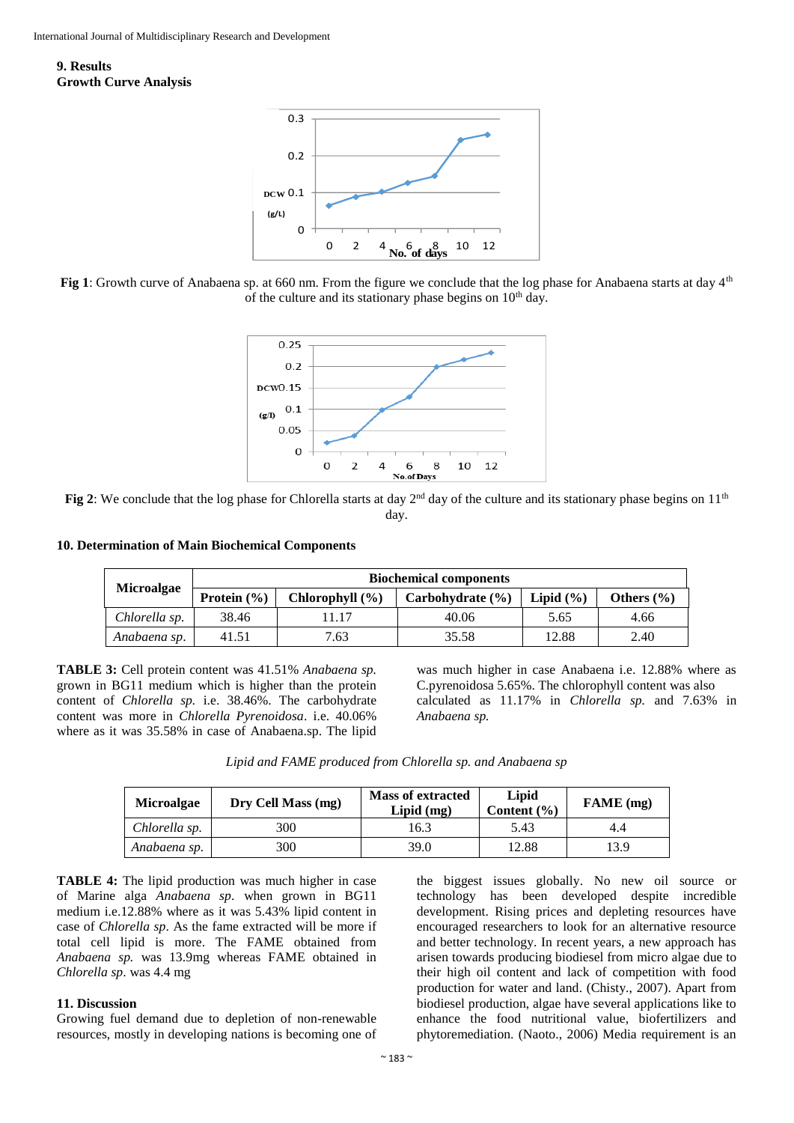**9. Results Growth Curve Analysis**



**Fig 1**: Growth curve of Anabaena sp. at 660 nm. From the figure we conclude that the log phase for Anabaena starts at day 4th of the culture and its stationary phase begins on  $10<sup>th</sup>$  day.



**Fig 2**: We conclude that the log phase for Chlorella starts at day  $2^{nd}$  day of the culture and its stationary phase begins on  $11^{th}$ day.

**10. Determination of Main Biochemical Components**

| <b>Microalgae</b> | <b>Biochemical components</b> |                     |                      |               |                |  |
|-------------------|-------------------------------|---------------------|----------------------|---------------|----------------|--|
|                   | Protein $(\% )$               | Chlorophyll $(\% )$ | Carbohydrate $(\% )$ | Lipid $(\% )$ | Others $(\% )$ |  |
| Chlorella sp.     | 38.46                         | 1.17                | 40.06                | 5.65          | 4.66           |  |
| Anabaena sp.      | 41.51                         | 7.63                | 35.58                | 12.88         | 2.40           |  |

**TABLE 3:** Cell protein content was 41.51% *Anabaena sp.*  grown in BG11 medium which is higher than the protein content of *Chlorella sp.* i.e. 38.46%. The carbohydrate content was more in *Chlorella Pyrenoidosa*. i.e. 40.06% where as it was 35.58% in case of Anabaena.sp. The lipid

was much higher in case Anabaena i.e. 12.88% where as C.pyrenoidosa 5.65%. The chlorophyll content was also calculated as 11.17% in *Chlorella sp.* and 7.63% in *Anabaena sp.*

| <b>Microalgae</b> | Dry Cell Mass (mg) | <b>Mass of extracted</b><br>$Lipid$ (mg) | Lipid<br>Content $(\% )$ | FAME (mg) |
|-------------------|--------------------|------------------------------------------|--------------------------|-----------|
| Chlorella sp.     | 300                | 16.3                                     | 5.43                     | 4.4       |
| Anabaena sp.      | 300                | 39.0                                     | 12.88                    | 13.9      |

**TABLE 4:** The lipid production was much higher in case of Marine alga *Anabaena sp*. when grown in BG11 medium i.e.12.88% where as it was 5.43% lipid content in case of *Chlorella sp*. As the fame extracted will be more if total cell lipid is more. The FAME obtained from *Anabaena sp.* was 13.9mg whereas FAME obtained in *Chlorella sp*. was 4.4 mg

#### **11. Discussion**

Growing fuel demand due to depletion of non-renewable resources, mostly in developing nations is becoming one of

the biggest issues globally. No new oil source or technology has been developed despite incredible development. Rising prices and depleting resources have encouraged researchers to look for an alternative resource and better technology. In recent years, a new approach has arisen towards producing biodiesel from micro algae due to their high oil content and lack of competition with food production for water and land. (Chisty., 2007). Apart from biodiesel production, algae have several applications like to enhance the food nutritional value, biofertilizers and phytoremediation. (Naoto., 2006) Media requirement is an